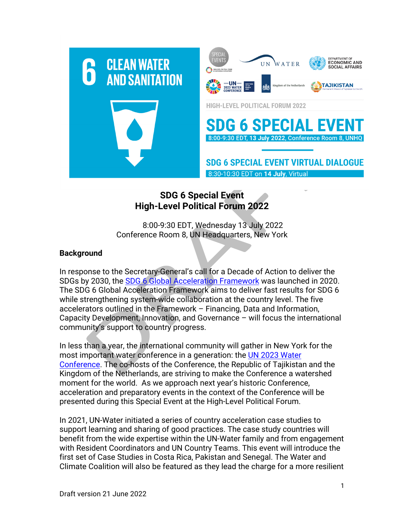

## **SDG 6 Special Event High-Level Political Forum 2022**

8:00-9:30 EDT, Wednesday 13 July 2022 Conference Room 8, UN Headquarters, New York

## **Background**

In response to the Secretary-General's call for a Decade of Action to deliver the SDGs by 2030, the SDG 6 Global Acceleration Framework was launched in 2020. The SDG 6 Global Acceleration Framework aims to deliver fast results for SDG 6 while strengthening system-wide collaboration at the country level. The five accelerators outlined in the Framework – Financing, Data and Information, Capacity Development, Innovation, and Governance – will focus the international community's support to country progress.

In less than a year, the international community will gather in New York for the most important water conference in a generation: the UN 2023 Water Conference. The co-hosts of the Conference, the Republic of Tajikistan and the Kingdom of the Netherlands, are striving to make the Conference a watershed moment for the world. As we approach next year's historic Conference, acceleration and preparatory events in the context of the Conference will be presented during this Special Event at the High-Level Political Forum.

In 2021, UN-Water initiated a series of country acceleration case studies to support learning and sharing of good practices. The case study countries will benefit from the wide expertise within the UN-Water family and from engagement with Resident Coordinators and UN Country Teams. This event will introduce the first set of Case Studies in Costa Rica, Pakistan and Senegal. The Water and Climate Coalition will also be featured as they lead the charge for a more resilient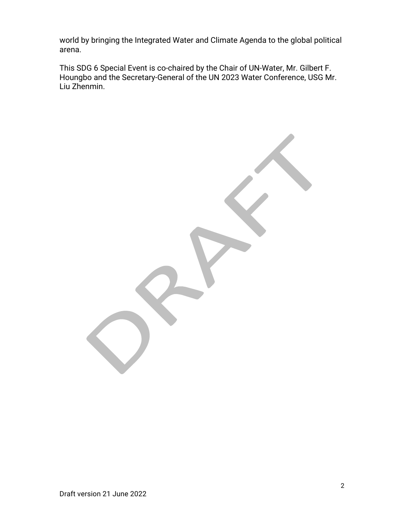world by bringing the Integrated Water and Climate Agenda to the global political arena.

This SDG 6 Special Event is co-chaired by the Chair of UN-Water, Mr. Gilbert F. Houngbo and the Secretary-General of the UN 2023 Water Conference, USG Mr. Liu Zhenmin.